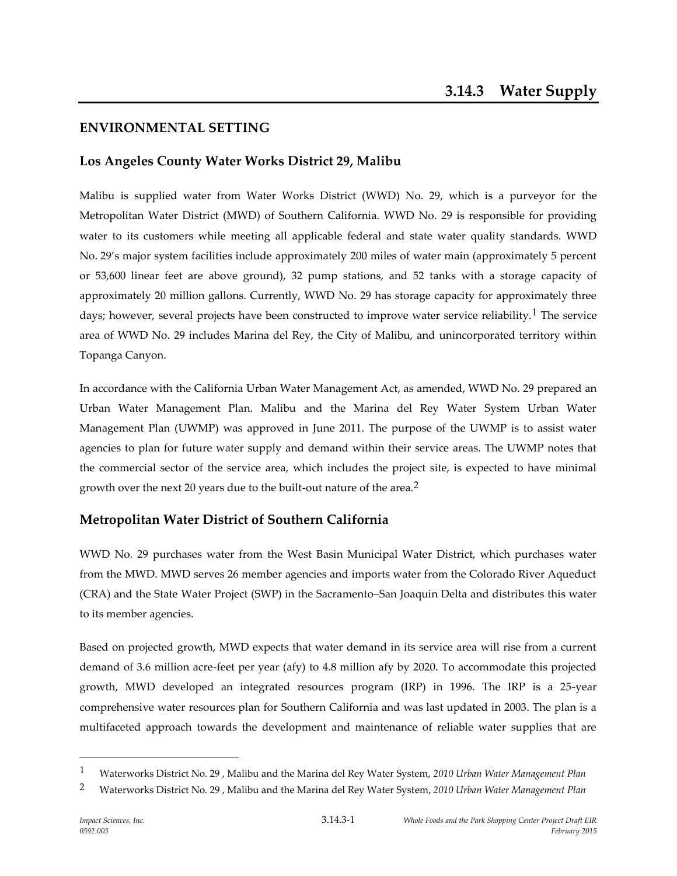# **ENVIRONMENTAL SETTING**

### **Los Angeles County Water Works District 29, Malibu**

Malibu is supplied water from Water Works District (WWD) No. 29, which is a purveyor for the Metropolitan Water District (MWD) of Southern California. WWD No. 29 is responsible for providing water to its customers while meeting all applicable federal and state water quality standards. WWD No. 29's major system facilities include approximately 200 miles of water main (approximately 5 percent or 53,600 linear feet are above ground), 32 pump stations, and 52 tanks with a storage capacity of approximately 20 million gallons. Currently, WWD No. 29 has storage capacity for approximately three days; however, several projects have been constructed to improve water service reliability.<sup>1</sup> The service area of WWD No. 29 includes Marina del Rey, the City of Malibu, and unincorporated territory within Topanga Canyon.

In accordance with the California Urban Water Management Act, as amended, WWD No. 29 prepared an Urban Water Management Plan. Malibu and the Marina del Rey Water System Urban Water Management Plan (UWMP) was approved in June 2011. The purpose of the UWMP is to assist water agencies to plan for future water supply and demand within their service areas. The UWMP notes that the commercial sector of the service area, which includes the project site, is expected to have minimal growth over the next 20 years due to the built-out nature of the area.<sup>2</sup>

## **Metropolitan Water District of Southern California**

WWD No. 29 purchases water from the West Basin Municipal Water District, which purchases water from the MWD. MWD serves 26 member agencies and imports water from the Colorado River Aqueduct (CRA) and the State Water Project (SWP) in the Sacramento–San Joaquin Delta and distributes this water to its member agencies.

Based on projected growth, MWD expects that water demand in its service area will rise from a current demand of 3.6 million acre-feet per year (afy) to 4.8 million afy by 2020. To accommodate this projected growth, MWD developed an integrated resources program (IRP) in 1996. The IRP is a 25-year comprehensive water resources plan for Southern California and was last updated in 2003. The plan is a multifaceted approach towards the development and maintenance of reliable water supplies that are

<sup>1</sup> Waterworks District No. 29 , Malibu and the Marina del Rey Water System, *2010 Urban Water Management Plan*

<sup>2</sup> Waterworks District No. 29 , Malibu and the Marina del Rey Water System, *2010 Urban Water Management Plan*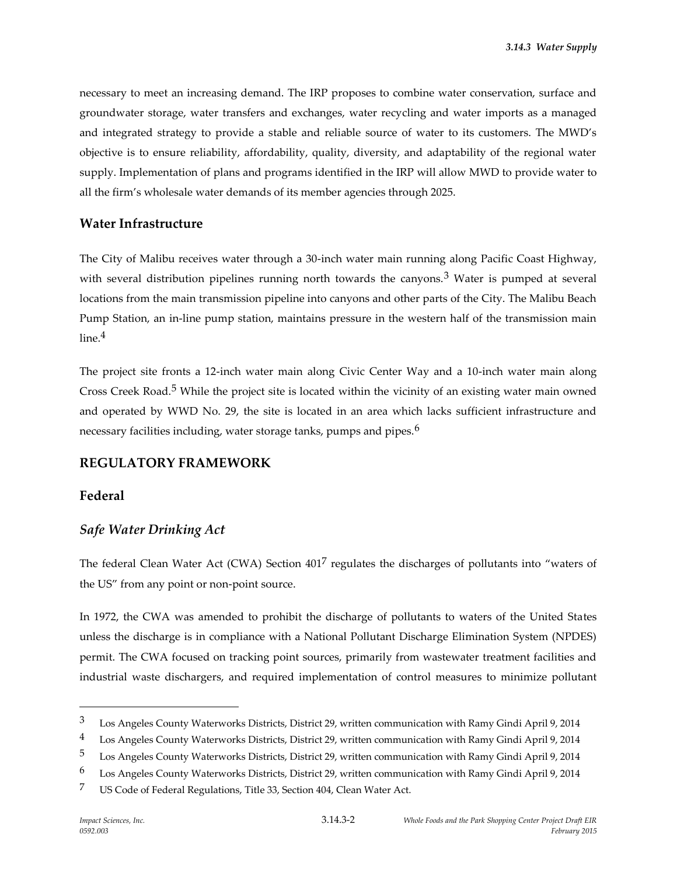necessary to meet an increasing demand. The IRP proposes to combine water conservation, surface and groundwater storage, water transfers and exchanges, water recycling and water imports as a managed and integrated strategy to provide a stable and reliable source of water to its customers. The MWD's objective is to ensure reliability, affordability, quality, diversity, and adaptability of the regional water supply. Implementation of plans and programs identified in the IRP will allow MWD to provide water to all the firm's wholesale water demands of its member agencies through 2025.

#### **Water Infrastructure**

The City of Malibu receives water through a 30-inch water main running along Pacific Coast Highway, with several distribution pipelines running north towards the canyons.<sup>3</sup> Water is pumped at several locations from the main transmission pipeline into canyons and other parts of the City. The Malibu Beach Pump Station, an in-line pump station, maintains pressure in the western half of the transmission main line.<sup>4</sup>

The project site fronts a 12-inch water main along Civic Center Way and a 10-inch water main along Cross Creek Road.<sup>5</sup> While the project site is located within the vicinity of an existing water main owned and operated by WWD No. 29, the site is located in an area which lacks sufficient infrastructure and necessary facilities including, water storage tanks, pumps and pipes.<sup>6</sup>

#### **REGULATORY FRAMEWORK**

#### **Federal**

#### *Safe Water Drinking Act*

The federal Clean Water Act (CWA) Section  $401<sup>7</sup>$  regulates the discharges of pollutants into "waters of the US" from any point or non-point source.

In 1972, the CWA was amended to prohibit the discharge of pollutants to waters of the United States unless the discharge is in compliance with a National Pollutant Discharge Elimination System (NPDES) permit. The CWA focused on tracking point sources, primarily from wastewater treatment facilities and industrial waste dischargers, and required implementation of control measures to minimize pollutant

<sup>3</sup> Los Angeles County Waterworks Districts, District 29, written communication with Ramy Gindi April 9, 2014

<sup>4</sup> Los Angeles County Waterworks Districts, District 29, written communication with Ramy Gindi April 9, 2014

<sup>5</sup> Los Angeles County Waterworks Districts, District 29, written communication with Ramy Gindi April 9, 2014

<sup>6</sup> Los Angeles County Waterworks Districts, District 29, written communication with Ramy Gindi April 9, 2014

<sup>7</sup> US Code of Federal Regulations, Title 33, Section 404, Clean Water Act.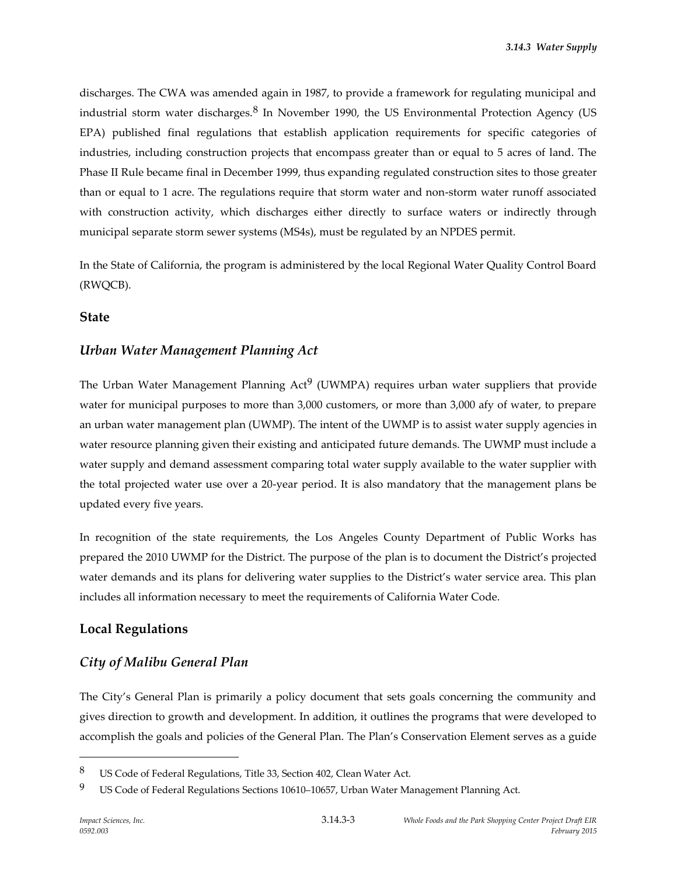discharges. The CWA was amended again in 1987, to provide a framework for regulating municipal and industrial storm water discharges. $8\,$  In November 1990, the US Environmental Protection Agency (US EPA) published final regulations that establish application requirements for specific categories of industries, including construction projects that encompass greater than or equal to 5 acres of land. The Phase II Rule became final in December 1999, thus expanding regulated construction sites to those greater than or equal to 1 acre. The regulations require that storm water and non-storm water runoff associated with construction activity, which discharges either directly to surface waters or indirectly through municipal separate storm sewer systems (MS4s), must be regulated by an NPDES permit.

In the State of California, the program is administered by the local Regional Water Quality Control Board (RWQCB).

#### **State**

### *Urban Water Management Planning Act*

The Urban Water Management Planning  $Act^9$  (UWMPA) requires urban water suppliers that provide water for municipal purposes to more than 3,000 customers, or more than 3,000 afy of water, to prepare an urban water management plan (UWMP). The intent of the UWMP is to assist water supply agencies in water resource planning given their existing and anticipated future demands. The UWMP must include a water supply and demand assessment comparing total water supply available to the water supplier with the total projected water use over a 20-year period. It is also mandatory that the management plans be updated every five years.

In recognition of the state requirements, the Los Angeles County Department of Public Works has prepared the 2010 UWMP for the District. The purpose of the plan is to document the District's projected water demands and its plans for delivering water supplies to the District's water service area. This plan includes all information necessary to meet the requirements of California Water Code.

#### **Local Regulations**

## *City of Malibu General Plan*

The City's General Plan is primarily a policy document that sets goals concerning the community and gives direction to growth and development. In addition, it outlines the programs that were developed to accomplish the goals and policies of the General Plan. The Plan's Conservation Element serves as a guide

<sup>8</sup> US Code of Federal Regulations, Title 33, Section 402, Clean Water Act.

<sup>&</sup>lt;sup>9</sup> US Code of Federal Regulations Sections 10610–10657, Urban Water Management Planning Act.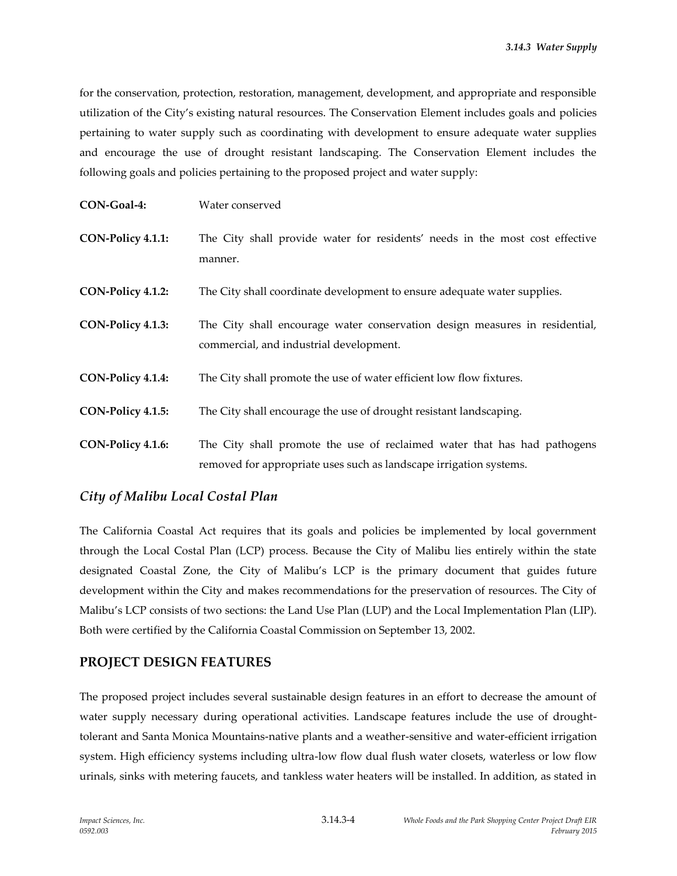for the conservation, protection, restoration, management, development, and appropriate and responsible utilization of the City's existing natural resources. The Conservation Element includes goals and policies pertaining to water supply such as coordinating with development to ensure adequate water supplies and encourage the use of drought resistant landscaping. The Conservation Element includes the following goals and policies pertaining to the proposed project and water supply:

| CON-Goal-4:       | Water conserved                                                                                                                                |
|-------------------|------------------------------------------------------------------------------------------------------------------------------------------------|
| CON-Policy 4.1.1: | The City shall provide water for residents' needs in the most cost effective<br>manner.                                                        |
| CON-Policy 4.1.2: | The City shall coordinate development to ensure adequate water supplies.                                                                       |
| CON-Policy 4.1.3: | The City shall encourage water conservation design measures in residential,<br>commercial, and industrial development.                         |
| CON-Policy 4.1.4: | The City shall promote the use of water efficient low flow fixtures.                                                                           |
| CON-Policy 4.1.5: | The City shall encourage the use of drought resistant landscaping.                                                                             |
| CON-Policy 4.1.6: | The City shall promote the use of reclaimed water that has had pathogens<br>removed for appropriate uses such as landscape irrigation systems. |

#### *City of Malibu Local Costal Plan*

The California Coastal Act requires that its goals and policies be implemented by local government through the Local Costal Plan (LCP) process. Because the City of Malibu lies entirely within the state designated Coastal Zone, the City of Malibu's LCP is the primary document that guides future development within the City and makes recommendations for the preservation of resources. The City of Malibu's LCP consists of two sections: the Land Use Plan (LUP) and the Local Implementation Plan (LIP). Both were certified by the California Coastal Commission on September 13, 2002.

## **PROJECT DESIGN FEATURES**

The proposed project includes several sustainable design features in an effort to decrease the amount of water supply necessary during operational activities. Landscape features include the use of droughttolerant and Santa Monica Mountains-native plants and a weather-sensitive and water-efficient irrigation system. High efficiency systems including ultra-low flow dual flush water closets, waterless or low flow urinals, sinks with metering faucets, and tankless water heaters will be installed. In addition, as stated in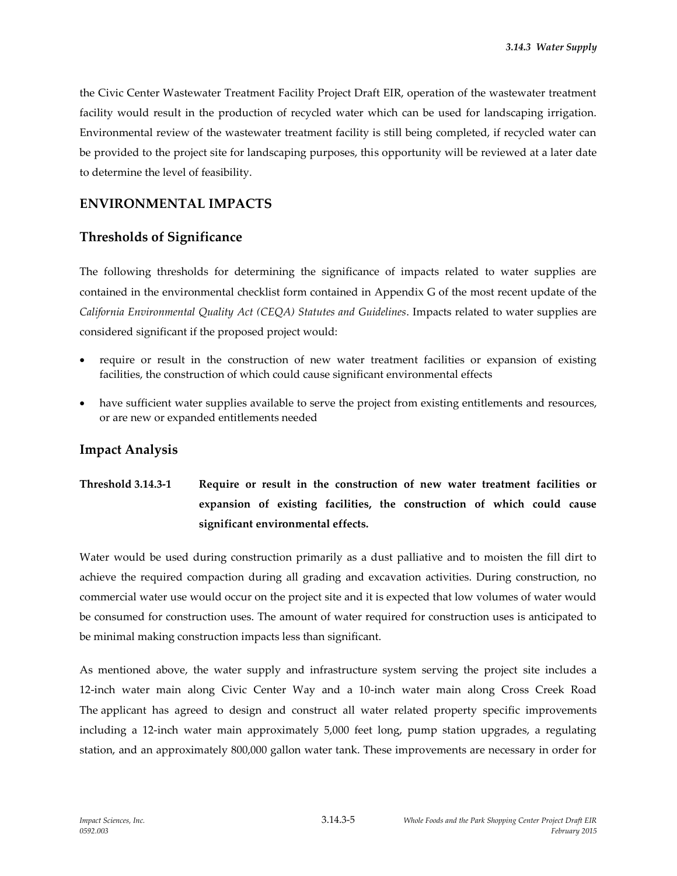the Civic Center Wastewater Treatment Facility Project Draft EIR, operation of the wastewater treatment facility would result in the production of recycled water which can be used for landscaping irrigation. Environmental review of the wastewater treatment facility is still being completed, if recycled water can be provided to the project site for landscaping purposes, this opportunity will be reviewed at a later date to determine the level of feasibility.

# **ENVIRONMENTAL IMPACTS**

## **Thresholds of Significance**

The following thresholds for determining the significance of impacts related to water supplies are contained in the environmental checklist form contained in Appendix G of the most recent update of the *California Environmental Quality Act (CEQA) Statutes and Guidelines*. Impacts related to water supplies are considered significant if the proposed project would:

- require or result in the construction of new water treatment facilities or expansion of existing facilities, the construction of which could cause significant environmental effects
- have sufficient water supplies available to serve the project from existing entitlements and resources, or are new or expanded entitlements needed

#### **Impact Analysis**

# **Threshold 3.14.3-1 Require or result in the construction of new water treatment facilities or expansion of existing facilities, the construction of which could cause significant environmental effects.**

Water would be used during construction primarily as a dust palliative and to moisten the fill dirt to achieve the required compaction during all grading and excavation activities. During construction, no commercial water use would occur on the project site and it is expected that low volumes of water would be consumed for construction uses. The amount of water required for construction uses is anticipated to be minimal making construction impacts less than significant.

As mentioned above, the water supply and infrastructure system serving the project site includes a 12-inch water main along Civic Center Way and a 10-inch water main along Cross Creek Road The applicant has agreed to design and construct all water related property specific improvements including a 12-inch water main approximately 5,000 feet long, pump station upgrades, a regulating station, and an approximately 800,000 gallon water tank. These improvements are necessary in order for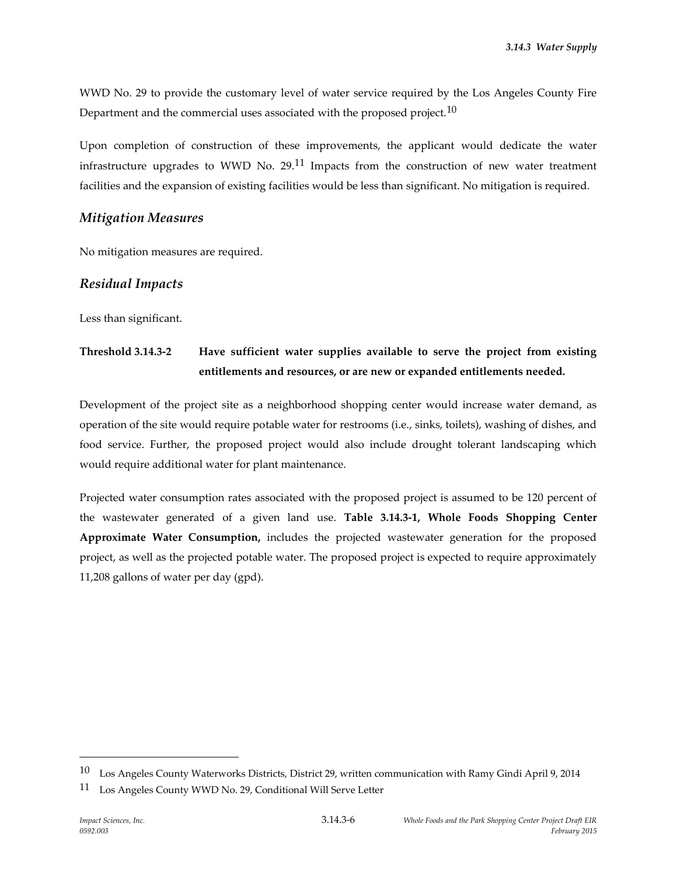*3.14.3 Water Supply*

WWD No. 29 to provide the customary level of water service required by the Los Angeles County Fire Department and the commercial uses associated with the proposed project.<sup>10</sup>

Upon completion of construction of these improvements, the applicant would dedicate the water infrastructure upgrades to WWD No.  $29$ .<sup>11</sup> Impacts from the construction of new water treatment facilities and the expansion of existing facilities would be less than significant. No mitigation is required.

### *Mitigation Measures*

No mitigation measures are required.

### *Residual Impacts*

Less than significant.

# **Threshold 3.14.3-2 Have sufficient water supplies available to serve the project from existing entitlements and resources, or are new or expanded entitlements needed.**

Development of the project site as a neighborhood shopping center would increase water demand, as operation of the site would require potable water for restrooms (i.e., sinks, toilets), washing of dishes, and food service. Further, the proposed project would also include drought tolerant landscaping which would require additional water for plant maintenance.

Projected water consumption rates associated with the proposed project is assumed to be 120 percent of the wastewater generated of a given land use. **Table 3.14.3-1, Whole Foods Shopping Center Approximate Water Consumption,** includes the projected wastewater generation for the proposed project, as well as the projected potable water. The proposed project is expected to require approximately 11,208 gallons of water per day (gpd).

<sup>10</sup> Los Angeles County Waterworks Districts, District 29, written communication with Ramy Gindi April 9, 2014

<sup>&</sup>lt;sup>11</sup> Los Angeles County WWD No. 29, Conditional Will Serve Letter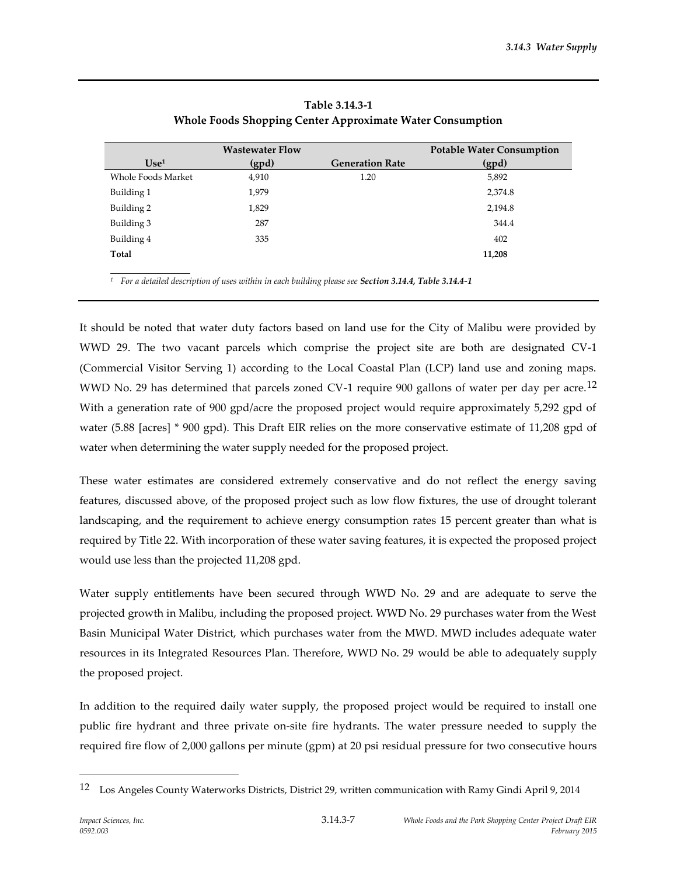| Use <sup>1</sup>   | <b>Wastewater Flow</b><br>(gpd) | <b>Generation Rate</b> | <b>Potable Water Consumption</b><br>(gpd) |
|--------------------|---------------------------------|------------------------|-------------------------------------------|
| Whole Foods Market | 4,910                           | 1.20                   | 5,892                                     |
| Building 1         | 1,979                           |                        | 2,374.8                                   |
| Building 2         | 1,829                           |                        | 2,194.8                                   |
| Building 3         | 287                             |                        | 344.4                                     |
| Building 4         | 335                             |                        | 402                                       |
| Total              |                                 |                        | 11,208                                    |

#### **Table 3.14.3-1 Whole Foods Shopping Center Approximate Water Consumption**

*<sup>1</sup> For a detailed description of uses within in each building please see Section 3.14.4, Table 3.14.4-1*

It should be noted that water duty factors based on land use for the City of Malibu were provided by WWD 29. The two vacant parcels which comprise the project site are both are designated CV-1 (Commercial Visitor Serving 1) according to the Local Coastal Plan (LCP) land use and zoning maps. WWD No. 29 has determined that parcels zoned CV-1 require 900 gallons of water per day per acre.<sup>12</sup> With a generation rate of 900 gpd/acre the proposed project would require approximately 5,292 gpd of water (5.88 [acres] \* 900 gpd). This Draft EIR relies on the more conservative estimate of 11,208 gpd of water when determining the water supply needed for the proposed project.

These water estimates are considered extremely conservative and do not reflect the energy saving features, discussed above, of the proposed project such as low flow fixtures, the use of drought tolerant landscaping, and the requirement to achieve energy consumption rates 15 percent greater than what is required by Title 22. With incorporation of these water saving features, it is expected the proposed project would use less than the projected 11,208 gpd.

Water supply entitlements have been secured through WWD No. 29 and are adequate to serve the projected growth in Malibu, including the proposed project. WWD No. 29 purchases water from the West Basin Municipal Water District, which purchases water from the MWD. MWD includes adequate water resources in its Integrated Resources Plan. Therefore, WWD No. 29 would be able to adequately supply the proposed project.

In addition to the required daily water supply, the proposed project would be required to install one public fire hydrant and three private on-site fire hydrants. The water pressure needed to supply the required fire flow of 2,000 gallons per minute (gpm) at 20 psi residual pressure for two consecutive hours

<sup>12</sup> Los Angeles County Waterworks Districts, District 29, written communication with Ramy Gindi April 9, 2014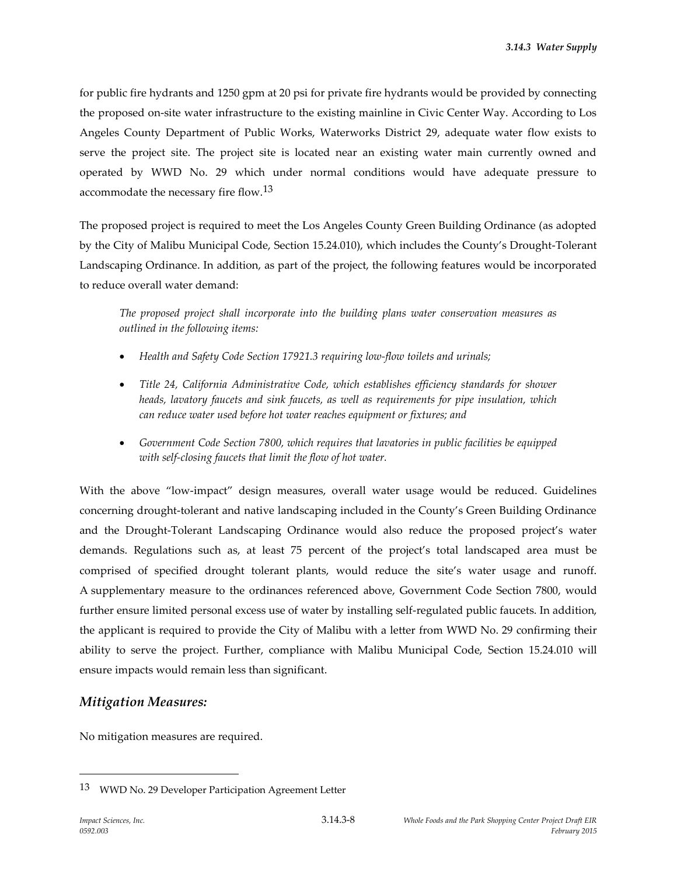for public fire hydrants and 1250 gpm at 20 psi for private fire hydrants would be provided by connecting the proposed on-site water infrastructure to the existing mainline in Civic Center Way. According to Los Angeles County Department of Public Works, Waterworks District 29, adequate water flow exists to serve the project site. The project site is located near an existing water main currently owned and operated by WWD No. 29 which under normal conditions would have adequate pressure to accommodate the necessary fire flow.13

The proposed project is required to meet the Los Angeles County Green Building Ordinance (as adopted by the City of Malibu Municipal Code, Section 15.24.010), which includes the County's Drought-Tolerant Landscaping Ordinance. In addition, as part of the project, the following features would be incorporated to reduce overall water demand:

*The proposed project shall incorporate into the building plans water conservation measures as outlined in the following items:*

- *Health and Safety Code Section 17921.3 requiring low-flow toilets and urinals;*
- *Title 24, California Administrative Code, which establishes efficiency standards for shower heads, lavatory faucets and sink faucets, as well as requirements for pipe insulation, which can reduce water used before hot water reaches equipment or fixtures; and*
- *Government Code Section 7800, which requires that lavatories in public facilities be equipped with self-closing faucets that limit the flow of hot water.*

With the above "low-impact" design measures, overall water usage would be reduced. Guidelines concerning drought-tolerant and native landscaping included in the County's Green Building Ordinance and the Drought-Tolerant Landscaping Ordinance would also reduce the proposed project's water demands. Regulations such as, at least 75 percent of the project's total landscaped area must be comprised of specified drought tolerant plants, would reduce the site's water usage and runoff. A supplementary measure to the ordinances referenced above, Government Code Section 7800, would further ensure limited personal excess use of water by installing self-regulated public faucets. In addition, the applicant is required to provide the City of Malibu with a letter from WWD No. 29 confirming their ability to serve the project. Further, compliance with Malibu Municipal Code, Section 15.24.010 will ensure impacts would remain less than significant.

#### *Mitigation Measures:*

No mitigation measures are required.

<sup>13</sup> WWD No. 29 Developer Participation Agreement Letter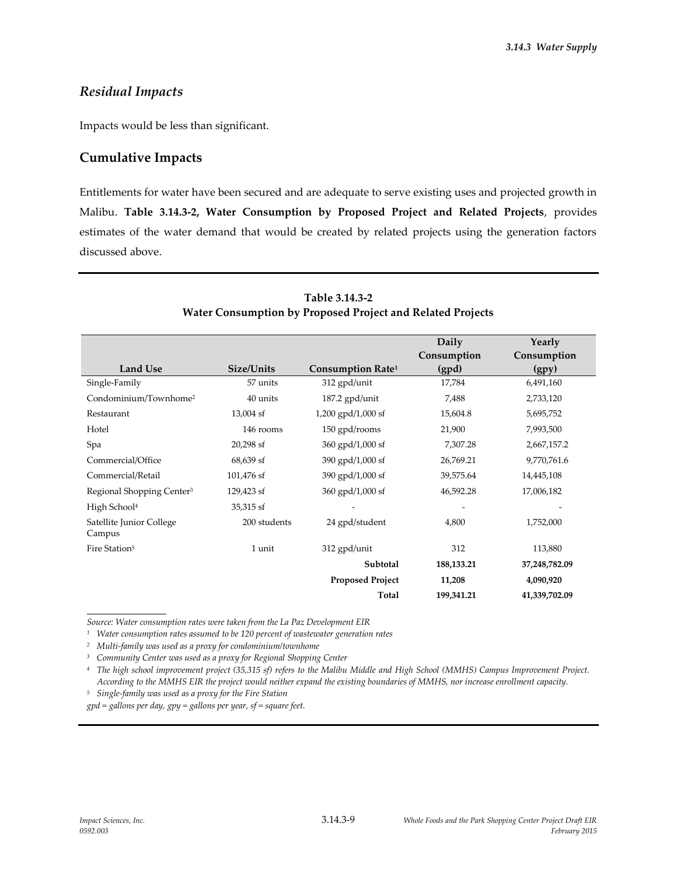# *Residual Impacts*

Impacts would be less than significant.

## **Cumulative Impacts**

Entitlements for water have been secured and are adequate to serve existing uses and projected growth in Malibu. **Table 3.14.3-2, Water Consumption by Proposed Project and Related Projects**, provides estimates of the water demand that would be created by related projects using the generation factors discussed above.

|                                       |              |                                     | Daily<br>Consumption | Yearly<br>Consumption |
|---------------------------------------|--------------|-------------------------------------|----------------------|-----------------------|
| <b>Land Use</b>                       | Size/Units   | Consumption Rate <sup>1</sup>       | (gpd)                | (gpy)                 |
| Single-Family                         | 57 units     | 312 gpd/unit                        | 17,784               | 6,491,160             |
| Condominium/Townhome <sup>2</sup>     | 40 units     | $187.2$ gpd/unit                    | 7,488                | 2,733,120             |
| Restaurant                            | 13,004 sf    | 1,200 $\text{gpd}/1,000 \text{ sf}$ | 15,604.8             | 5,695,752             |
| Hotel                                 | 146 rooms    | 150 gpd/rooms                       | 21,900               | 7,993,500             |
| Spa                                   | $20,298$ sf  | $360$ gpd/1,000 sf                  | 7,307.28             | 2,667,157.2           |
| Commercial/Office                     | 68,639 sf    | 390 gpd/1,000 sf                    | 26,769.21            | 9,770,761.6           |
| Commercial/Retail                     | 101,476 sf   | 390 gpd/1,000 sf                    | 39,575.64            | 14,445,108            |
| Regional Shopping Center <sup>3</sup> | 129,423 sf   | $360$ gpd/1,000 sf                  | 46,592.28            | 17,006,182            |
| High School <sup>4</sup>              | 35,315 sf    |                                     |                      |                       |
| Satellite Junior College<br>Campus    | 200 students | 24 gpd/student                      | 4,800                | 1,752,000             |
| Fire Station <sup>5</sup>             | 1 unit       | 312 gpd/unit                        | 312                  | 113,880               |
|                                       |              | Subtotal                            | 188,133.21           | 37,248,782.09         |
|                                       |              | <b>Proposed Project</b>             | 11,208               | 4,090,920             |
|                                       |              | Total                               | 199,341.21           | 41,339,702.09         |

**Table 3.14.3-2 Water Consumption by Proposed Project and Related Projects**

*Source: Water consumption rates were taken from the La Paz Development EIR*

*<sup>1</sup> Water consumption rates assumed to be 120 percent of wastewater generation rates*

*<sup>2</sup> Multi-family was used as a proxy for condominium/townhome*

*<sup>3</sup> Community Center was used as a proxy for Regional Shopping Center*

*<sup>4</sup> The high school improvement project (35,315 sf) refers to the Malibu Middle and High School (MMHS) Campus Improvement Project. According to the MMHS EIR the project would neither expand the existing boundaries of MMHS, nor increase enrollment capacity.*

*<sup>5</sup> Single-family was used as a proxy for the Fire Station*

*gpd = gallons per day, gpy = gallons per year, sf = square feet.*